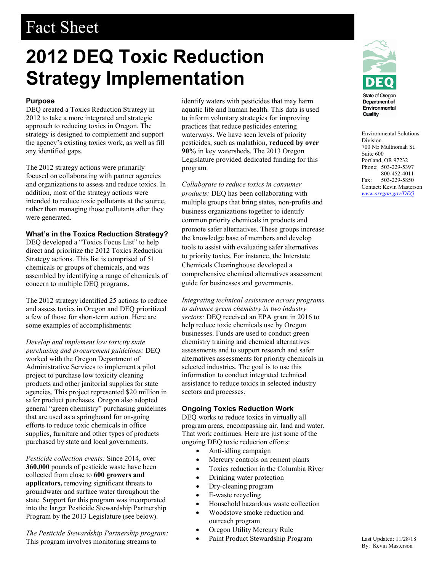# Fact Sheet

# **2012 DEQ Toxic Reduction Strategy Implementation**

#### **Purpose**

DEQ created a Toxics Reduction Strategy in 2012 to take a more integrated and strategic approach to reducing toxics in Oregon. The strategy is designed to complement and support the agency's existing toxics work, as well as fill any identified gaps.

The 2012 strategy actions were primarily focused on collaborating with partner agencies and organizations to assess and reduce toxics. In addition, most of the strategy actions were intended to reduce toxic pollutants at the source, rather than managing those pollutants after they were generated.

## **What's in the Toxics Reduction Strategy?**

DEQ developed a "Toxics Focus List" to help direct and prioritize the 2012 Toxics Reduction Strategy actions. This list is comprised of 51 chemicals or groups of chemicals, and was assembled by identifying a range of chemicals of concern to multiple DEQ programs.

The 2012 strategy identified 25 actions to reduce and assess toxics in Oregon and DEQ prioritized a few of those for short-term action. Here are some examples of accomplishments:

*Develop and implement low toxicity state purchasing and procurement guidelines:* DEQ worked with the Oregon Department of Administrative Services to implement a pilot project to purchase low toxicity cleaning products and other janitorial supplies for state agencies. This project represented \$20 million in safer product purchases. Oregon also adopted general "green chemistry" purchasing guidelines that are used as a springboard for on-going efforts to reduce toxic chemicals in office supplies, furniture and other types of products purchased by state and local governments.

*Pesticide collection events:* Since 2014, over **360,000** pounds of pesticide waste have been collected from close to **600 growers and applicators,** removing significant threats to groundwater and surface water throughout the state. Support for this program was incorporated into the larger Pesticide Stewardship Partnership Program by the 2013 Legislature (see below).

*The Pesticide Stewardship Partnership program:* This program involves monitoring streams to

identify waters with pesticides that may harm aquatic life and human health. This data is used to inform voluntary strategies for improving practices that reduce pesticides entering waterways. We have seen levels of priority pesticides, such as malathion, **reduced by over 90%** in key watersheds. The 2013 Oregon Legislature provided dedicated funding for this program.

*Collaborate to reduce toxics in consumer products:* DEQ has been collaborating with multiple groups that bring states, non-profits and business organizations together to identify common priority chemicals in products and promote safer alternatives. These groups increase the knowledge base of members and develop tools to assist with evaluating safer alternatives to priority toxics. For instance, the Interstate Chemicals Clearinghouse developed a comprehensive chemical alternatives assessment guide for businesses and governments.

*Integrating technical assistance across programs to advance green chemistry in two industry sectors:* DEQ received an EPA grant in 2016 to help reduce toxic chemicals use by Oregon businesses. Funds are used to conduct green chemistry training and chemical alternatives assessments and to support research and safer alternatives assessments for priority chemicals in selected industries. The goal is to use this information to conduct integrated technical assistance to reduce toxics in selected industry sectors and processes.

#### **Ongoing Toxics Reduction Work**

DEQ works to reduce toxics in virtually all program areas, encompassing air, land and water. That work continues. Here are just some of the ongoing DEQ toxic reduction efforts:

- Anti-idling campaign
- Mercury controls on cement plants
- Toxics reduction in the Columbia River
- Drinking water protection
- Dry-cleaning program
- E-waste recycling
- Household hazardous waste collection
- Woodstove smoke reduction and outreach program
- Oregon Utility Mercury Rule
- Paint Product Stewardship Program



Environmental Solutions Division 700 NE Multnomah St. Suite 600 Portland, OR 97232 Phone: 503-229-5397 800-452-4011 Fax: 503-229-5850 Contact: Kevin Masterson *[www.oregon.gov/DEQ](file://deqhq1/QNETcsd/Communications/Templates/www.oregon.gov/DEQ)*